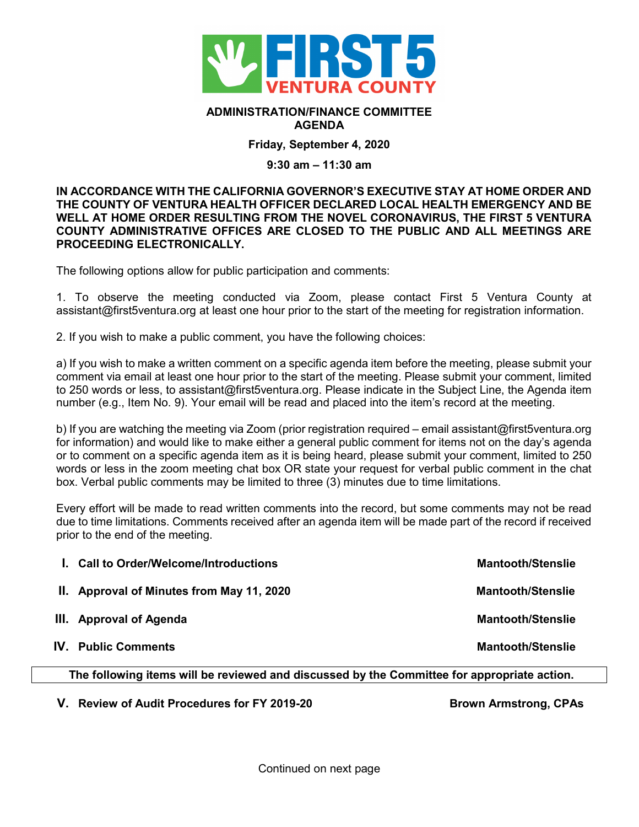

## **ADMINISTRATION/FINANCE COMMITTEE AGENDA**

## **Friday, September 4, 2020**

## **9:30 am – 11:30 am**

**IN ACCORDANCE WITH THE CALIFORNIA GOVERNOR'S EXECUTIVE STAY AT HOME ORDER AND THE COUNTY OF VENTURA HEALTH OFFICER DECLARED LOCAL HEALTH EMERGENCY AND BE WELL AT HOME ORDER RESULTING FROM THE NOVEL CORONAVIRUS, THE FIRST 5 VENTURA COUNTY ADMINISTRATIVE OFFICES ARE CLOSED TO THE PUBLIC AND ALL MEETINGS ARE PROCEEDING ELECTRONICALLY.** 

The following options allow for public participation and comments:

1. To observe the meeting conducted via Zoom, please contact First 5 Ventura County at assistant@first5ventura.org at least one hour prior to the start of the meeting for registration information.

2. If you wish to make a public comment, you have the following choices:

a) If you wish to make a written comment on a specific agenda item before the meeting, please submit your comment via email at least one hour prior to the start of the meeting. Please submit your comment, limited to 250 words or less, to assistant@first5ventura.org. Please indicate in the Subject Line, the Agenda item number (e.g., Item No. 9). Your email will be read and placed into the item's record at the meeting.

b) If you are watching the meeting via Zoom (prior registration required – email assistant@first5ventura.org for information) and would like to make either a general public comment for items not on the day's agenda or to comment on a specific agenda item as it is being heard, please submit your comment, limited to 250 words or less in the zoom meeting chat box OR state your request for verbal public comment in the chat box. Verbal public comments may be limited to three (3) minutes due to time limitations.

Every effort will be made to read written comments into the record, but some comments may not be read due to time limitations. Comments received after an agenda item will be made part of the record if received prior to the end of the meeting.

|                                                                                             | <b>I.</b> Call to Order/Welcome/Introductions | <b>Mantooth/Stenslie</b> |  |
|---------------------------------------------------------------------------------------------|-----------------------------------------------|--------------------------|--|
|                                                                                             | II. Approval of Minutes from May 11, 2020     | <b>Mantooth/Stenslie</b> |  |
|                                                                                             | III. Approval of Agenda                       | <b>Mantooth/Stenslie</b> |  |
|                                                                                             | <b>IV.</b> Public Comments                    | <b>Mantooth/Stenslie</b> |  |
| The following items will be reviewed and discussed by the Committee for appropriate action. |                                               |                          |  |

V. Review of Audit Procedures for FY 2019-20 **Brown Armstrong, CPAs**